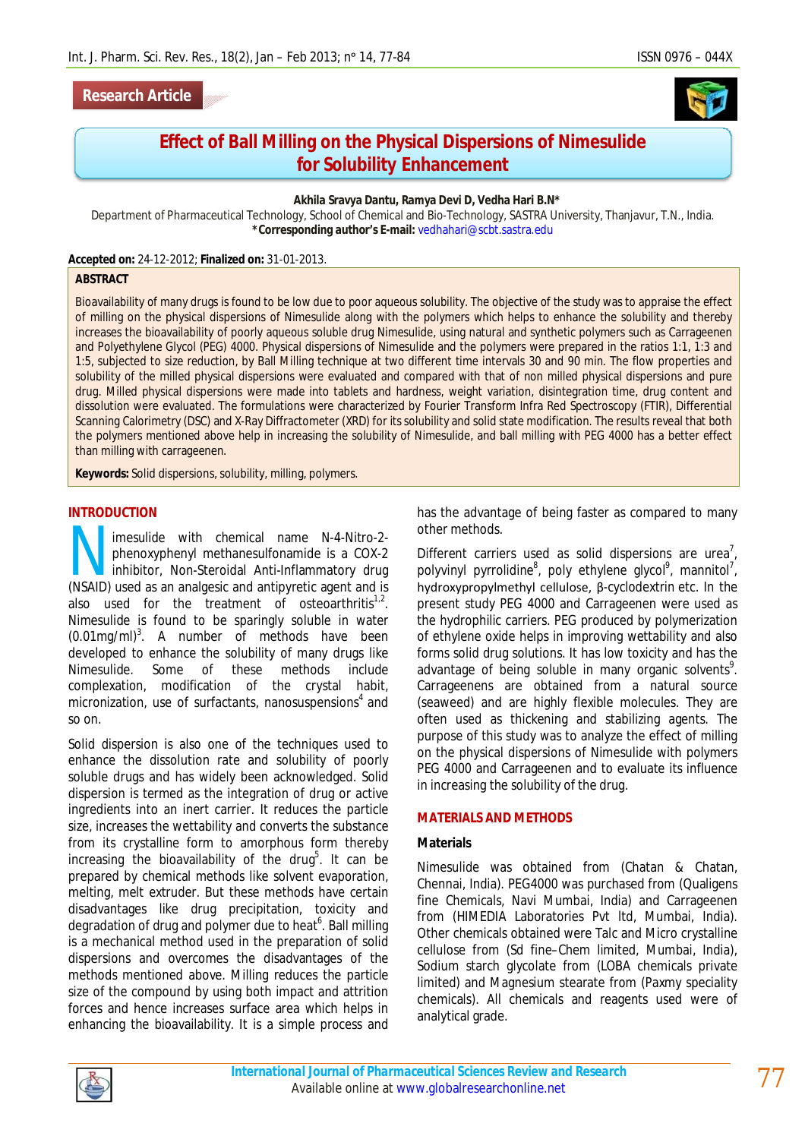## **Research Article**



# **Effect of Ball Milling on the Physical Dispersions of Nimesulide for Solubility Enhancement**

#### **Akhila Sravya Dantu, Ramya Devi D, Vedha Hari B.N\***

Department of Pharmaceutical Technology, School of Chemical and Bio-Technology, SASTRA University, Thanjavur, T.N., India. **\*Corresponding author's E-mail:** vedhahari@scbt.sastra.edu

**Accepted on:** 24-12-2012; **Finalized on:** 31-01-2013.

#### **ABSTRACT**

Bioavailability of many drugs is found to be low due to poor aqueous solubility. The objective of the study was to appraise the effect of milling on the physical dispersions of Nimesulide along with the polymers which helps to enhance the solubility and thereby increases the bioavailability of poorly aqueous soluble drug Nimesulide, using natural and synthetic polymers such as Carrageenen and Polyethylene Glycol (PEG) 4000. Physical dispersions of Nimesulide and the polymers were prepared in the ratios 1:1, 1:3 and 1:5, subjected to size reduction, by Ball Milling technique at two different time intervals 30 and 90 min. The flow properties and solubility of the milled physical dispersions were evaluated and compared with that of non milled physical dispersions and pure drug. Milled physical dispersions were made into tablets and hardness, weight variation, disintegration time, drug content and dissolution were evaluated. The formulations were characterized by Fourier Transform Infra Red Spectroscopy (FTIR), Differential Scanning Calorimetry (DSC) and X-Ray Diffractometer (XRD) for its solubility and solid state modification. The results reveal that both the polymers mentioned above help in increasing the solubility of Nimesulide, and ball milling with PEG 4000 has a better effect than milling with carrageenen.

**Keywords:** Solid dispersions, solubility, milling, polymers.

#### **INTRODUCTION**

imesulide with chemical name N-4-Nitro-2 phenoxyphenyl methanesulfonamide is a COX-2 inhibitor, Non-Steroidal Anti-Inflammatory drug Imesulide with chemical name N-4-Nitro-2-<br>phenoxyphenyl methanesulfonamide is a COX-2<br>inhibitor, Non-Steroidal Anti-Inflammatory drug<br>(NSAID) used as an analgesic and antipyretic agent and is also used for the treatment of osteoarthritis $1,2$ . Nimesulide is found to be sparingly soluble in water  $(0.01$ mg/ml $)^3$ . A number of methods have been developed to enhance the solubility of many drugs like Nimesulide. Some of these methods include complexation, modification of the crystal habit, micronization, use of surfactants, nanosuspensions $4$  and so on.

Solid dispersion is also one of the techniques used to enhance the dissolution rate and solubility of poorly soluble drugs and has widely been acknowledged. Solid dispersion is termed as the integration of drug or active ingredients into an inert carrier. It reduces the particle size, increases the wettability and converts the substance from its crystalline form to amorphous form thereby increasing the bioavailability of the drug<sup>5</sup>. It can be prepared by chemical methods like solvent evaporation, melting, melt extruder. But these methods have certain disadvantages like drug precipitation, toxicity and degradation of drug and polymer due to heat<sup>6</sup>. Ball milling is a mechanical method used in the preparation of solid dispersions and overcomes the disadvantages of the methods mentioned above. Milling reduces the particle size of the compound by using both impact and attrition forces and hence increases surface area which helps in enhancing the bioavailability. It is a simple process and

has the advantage of being faster as compared to many other methods.

Different carriers used as solid dispersions are urea<sup>7</sup>, polyvinyl pyrrolidine<sup>8</sup>, poly ethylene glycol<sup>9</sup>, mannitol<sup>7</sup>, hydroxypropylmethyl cellulose, β-cyclodextrin etc. In the present study PEG 4000 and Carrageenen were used as the hydrophilic carriers. PEG produced by polymerization of ethylene oxide helps in improving wettability and also forms solid drug solutions. It has low toxicity and has the advantage of being soluble in many organic solvents<sup>9</sup>. Carrageenens are obtained from a natural source (seaweed) and are highly flexible molecules. They are often used as thickening and stabilizing agents. The purpose of this study was to analyze the effect of milling on the physical dispersions of Nimesulide with polymers PEG 4000 and Carrageenen and to evaluate its influence in increasing the solubility of the drug.

#### **MATERIALS AND METHODS**

#### **Materials**

Nimesulide was obtained from (Chatan & Chatan, Chennai, India). PEG4000 was purchased from (Qualigens fine Chemicals, Navi Mumbai, India) and Carrageenen from (HIMEDIA Laboratories Pvt ltd, Mumbai, India). Other chemicals obtained were Talc and Micro crystalline cellulose from (Sd fine–Chem limited, Mumbai, India), Sodium starch glycolate from (LOBA chemicals private limited) and Magnesium stearate from (Paxmy speciality chemicals). All chemicals and reagents used were of analytical grade.

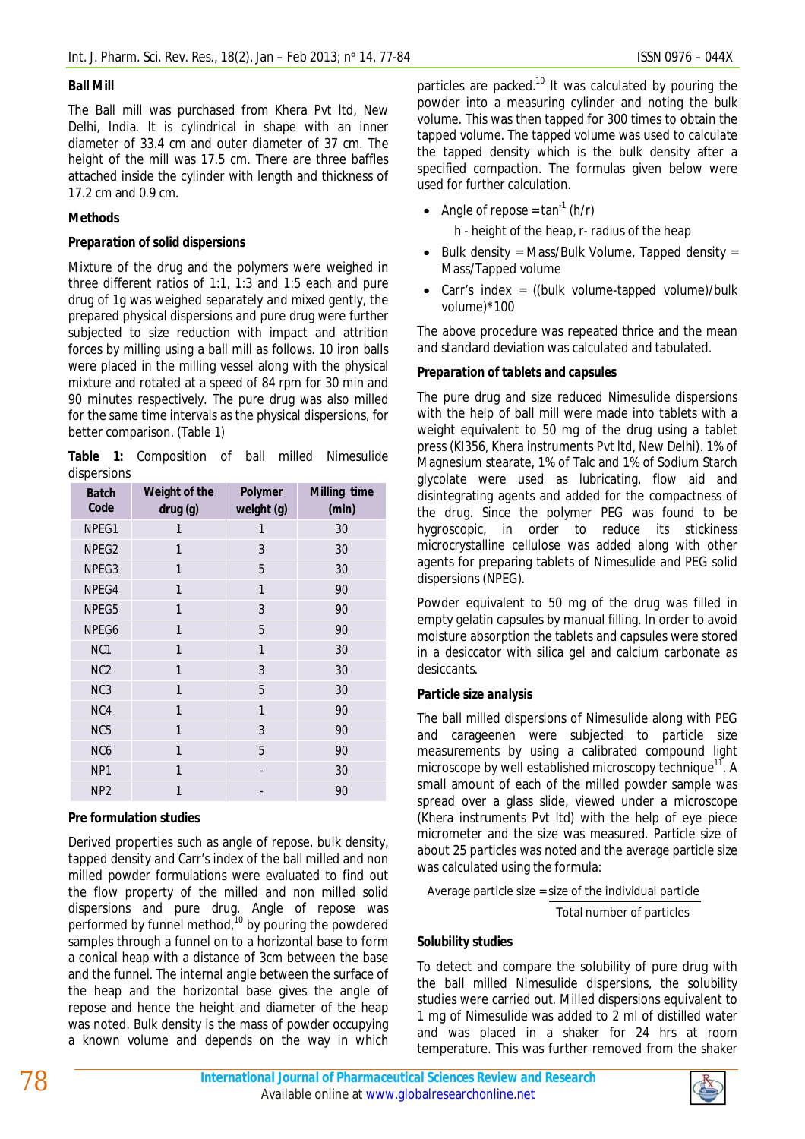## **Ball Mill**

The Ball mill was purchased from Khera Pvt ltd, New Delhi, India. It is cylindrical in shape with an inner diameter of 33.4 cm and outer diameter of 37 cm. The height of the mill was 17.5 cm. There are three baffles attached inside the cylinder with length and thickness of 17.2 cm and 0.9 cm.

# **Methods**

## *Preparation of solid dispersions*

Mixture of the drug and the polymers were weighed in three different ratios of 1:1, 1:3 and 1:5 each and pure drug of 1g was weighed separately and mixed gently, the prepared physical dispersions and pure drug were further subjected to size reduction with impact and attrition forces by milling using a ball mill as follows. 10 iron balls were placed in the milling vessel along with the physical mixture and rotated at a speed of 84 rpm for 30 min and 90 minutes respectively. The pure drug was also milled for the same time intervals as the physical dispersions, for better comparison. (Table 1)

**Table 1:** Composition of ball milled Nimesulide dispersions

| <b>Batch</b><br>Code | Weight of the<br>drug (g) | Polymer<br>weight (g) | Milling time<br>(min) |
|----------------------|---------------------------|-----------------------|-----------------------|
| NPEG1                | 1                         | 1                     | 30                    |
| NPEG2                | 1                         | 3                     | 30                    |
| NPEG3                | 1                         | 5                     | 30                    |
| NPEG4                | 1                         | 1                     | 90                    |
| NPEG5                | 1                         | 3                     | 90                    |
| NPEG6                | 1                         | 5                     | 90                    |
| NC1                  | 1                         | 1                     | 30                    |
| NC <sub>2</sub>      | 1                         | 3                     | 30                    |
| NC <sub>3</sub>      | 1                         | 5                     | 30                    |
| NC4                  | 1                         | 1                     | 90                    |
| NC <sub>5</sub>      | 1                         | 3                     | 90                    |
| NC <sub>6</sub>      | 1                         | 5                     | 90                    |
| NP1                  | 1                         | -                     | 30                    |
| NP <sub>2</sub>      | 1                         |                       | 90                    |

## *Pre formulation studies*

Derived properties such as angle of repose, bulk density, tapped density and Carr's index of the ball milled and non milled powder formulations were evaluated to find out the flow property of the milled and non milled solid dispersions and pure drug. Angle of repose was performed by funnel method,<sup>10</sup> by pouring the powdered samples through a funnel on to a horizontal base to form a conical heap with a distance of 3cm between the base and the funnel. The internal angle between the surface of the heap and the horizontal base gives the angle of repose and hence the height and diameter of the heap was noted. Bulk density is the mass of powder occupying a known volume and depends on the way in which

particles are packed.<sup>10</sup> It was calculated by pouring the powder into a measuring cylinder and noting the bulk volume. This was then tapped for 300 times to obtain the tapped volume. The tapped volume was used to calculate the tapped density which is the bulk density after a specified compaction. The formulas given below were used for further calculation.

• Angle of repose =  $\tan^{-1}$  (h/r)

h - height of the heap, r- radius of the heap

- $\bullet$  Bulk density = Mass/Bulk Volume, Tapped density = Mass/Tapped volume
- Carr's index = ((bulk volume-tapped volume)/bulk volume)\*100

The above procedure was repeated thrice and the mean and standard deviation was calculated and tabulated.

## *Preparation of tablets and capsules*

The pure drug and size reduced Nimesulide dispersions with the help of ball mill were made into tablets with a weight equivalent to 50 mg of the drug using a tablet press (KI356, Khera instruments Pvt ltd, New Delhi). 1% of Magnesium stearate, 1% of Talc and 1% of Sodium Starch glycolate were used as lubricating, flow aid and disintegrating agents and added for the compactness of the drug. Since the polymer PEG was found to be hygroscopic, in order to reduce its stickiness microcrystalline cellulose was added along with other agents for preparing tablets of Nimesulide and PEG solid dispersions (NPEG).

Powder equivalent to 50 mg of the drug was filled in empty gelatin capsules by manual filling. In order to avoid moisture absorption the tablets and capsules were stored in a desiccator with silica gel and calcium carbonate as desiccants.

## *Particle size analysis*

The ball milled dispersions of Nimesulide along with PEG and carageenen were subjected to particle size measurements by using a calibrated compound light microscope by well established microscopy technique<sup>11</sup>. A small amount of each of the milled powder sample was spread over a glass slide, viewed under a microscope (Khera instruments Pvt ltd) with the help of eye piece micrometer and the size was measured. Particle size of about 25 particles was noted and the average particle size was calculated using the formula:

Average particle size = size of the individual particle

Total number of particles

## *Solubility studies*

To detect and compare the solubility of pure drug with the ball milled Nimesulide dispersions, the solubility studies were carried out. Milled dispersions equivalent to 1 mg of Nimesulide was added to 2 ml of distilled water and was placed in a shaker for 24 hrs at room temperature. This was further removed from the shaker

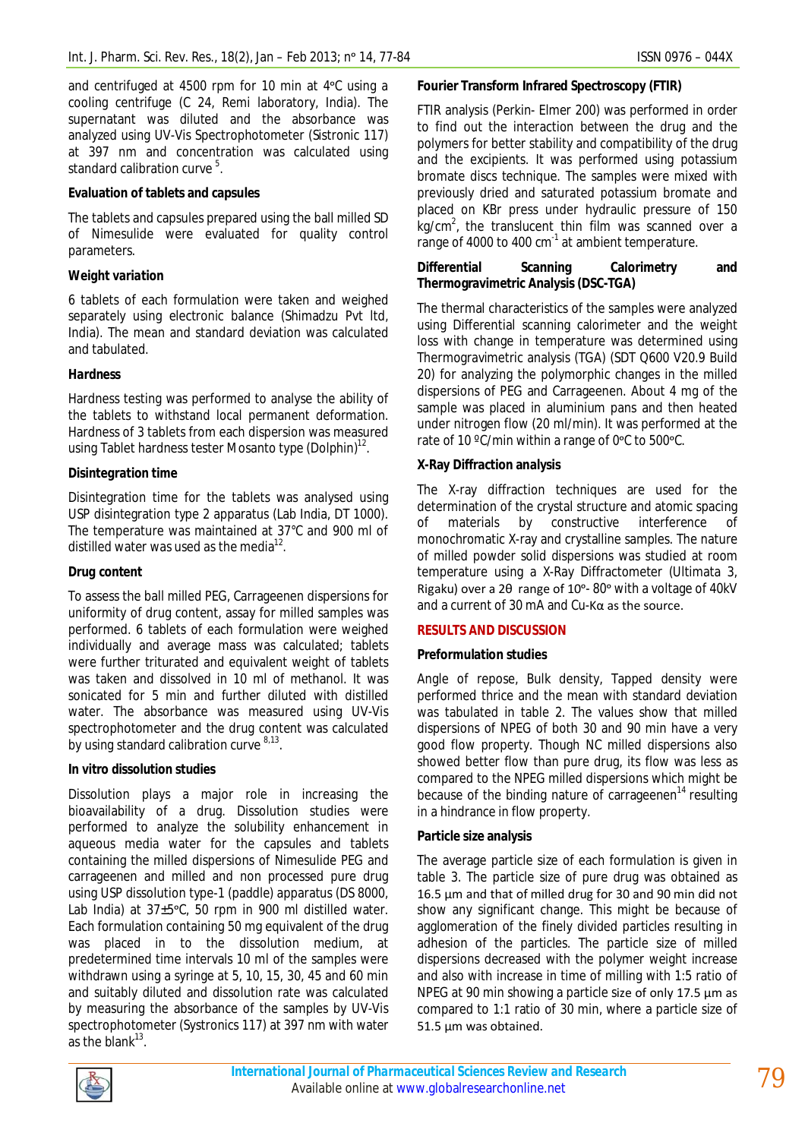and centrifuged at 4500 rpm for 10 min at 4 °C using a cooling centrifuge (C 24, Remi laboratory, India). The supernatant was diluted and the absorbance was analyzed using UV-Vis Spectrophotometer (Sistronic 117) at 397 nm and concentration was calculated using standard calibration curve  $5$ .

## **Evaluation of tablets and capsules**

The tablets and capsules prepared using the ball milled SD of Nimesulide were evaluated for quality control parameters.

## *Weight variation*

6 tablets of each formulation were taken and weighed separately using electronic balance (Shimadzu Pvt ltd, India). The mean and standard deviation was calculated and tabulated.

## *Hardness*

Hardness testing was performed to analyse the ability of the tablets to withstand local permanent deformation. Hardness of 3 tablets from each dispersion was measured using Tablet hardness tester Mosanto type (Dolphin) $12$ .

## *Disintegration time*

Disintegration time for the tablets was analysed using USP disintegration type 2 apparatus (Lab India, DT 1000). The temperature was maintained at 37°C and 900 ml of distilled water was used as the media $^{12}$ .

#### *Drug content*

To assess the ball milled PEG, Carrageenen dispersions for uniformity of drug content, assay for milled samples was performed. 6 tablets of each formulation were weighed individually and average mass was calculated; tablets were further triturated and equivalent weight of tablets was taken and dissolved in 10 ml of methanol. It was sonicated for 5 min and further diluted with distilled water. The absorbance was measured using UV-Vis spectrophotometer and the drug content was calculated by using standard calibration curve 8,13.

#### *In vitro dissolution studies*

Dissolution plays a major role in increasing the bioavailability of a drug. Dissolution studies were performed to analyze the solubility enhancement in aqueous media water for the capsules and tablets containing the milled dispersions of Nimesulide PEG and carrageenen and milled and non processed pure drug using USP dissolution type-1 (paddle) apparatus (DS 8000, Lab India) at  $37\pm5$ °C, 50 rpm in 900 ml distilled water. Each formulation containing 50 mg equivalent of the drug was placed in to the dissolution medium, at predetermined time intervals 10 ml of the samples were withdrawn using a syringe at 5, 10, 15, 30, 45 and 60 min and suitably diluted and dissolution rate was calculated by measuring the absorbance of the samples by UV-Vis spectrophotometer (Systronics 117) at 397 nm with water as the blank $^{13}$ .

## **Fourier Transform Infrared Spectroscopy (FTIR)**

FTIR analysis (Perkin- Elmer 200) was performed in order to find out the interaction between the drug and the polymers for better stability and compatibility of the drug and the excipients. It was performed using potassium bromate discs technique. The samples were mixed with previously dried and saturated potassium bromate and placed on KBr press under hydraulic pressure of 150 kg/cm<sup>2</sup>, the translucent thin film was scanned over a range of 4000 to 400  $cm^{-1}$  at ambient temperature.

## **Differential Scanning Calorimetry and Thermogravimetric Analysis (DSC-TGA)**

The thermal characteristics of the samples were analyzed using Differential scanning calorimeter and the weight loss with change in temperature was determined using Thermogravimetric analysis (TGA) (SDT Q600 V20.9 Build 20) for analyzing the polymorphic changes in the milled dispersions of PEG and Carrageenen. About 4 mg of the sample was placed in aluminium pans and then heated under nitrogen flow (20 ml/min). It was performed at the rate of 10 °C/min within a range of 0°C to 500°C.

## **X-Ray Diffraction analysis**

The X-ray diffraction techniques are used for the determination of the crystal structure and atomic spacing of materials by constructive interference of monochromatic X-ray and crystalline samples. The nature of milled powder solid dispersions was studied at room temperature using a X-Ray Diffractometer (Ultimata 3, Rigaku) over a 2θ range of 10°-80° with a voltage of 40kV and a current of 30 mA and Cu-Kα as the source.

## **RESULTS AND DISCUSSION**

# **Preformulation studies**

Angle of repose, Bulk density, Tapped density were performed thrice and the mean with standard deviation was tabulated in table 2. The values show that milled dispersions of NPEG of both 30 and 90 min have a very good flow property. Though NC milled dispersions also showed better flow than pure drug, its flow was less as compared to the NPEG milled dispersions which might be because of the binding nature of carrageenen $14$  resulting in a hindrance in flow property.

## **Particle size analysis**

The average particle size of each formulation is given in table 3. The particle size of pure drug was obtained as 16.5 µm and that of milled drug for 30 and 90 min did not show any significant change. This might be because of agglomeration of the finely divided particles resulting in adhesion of the particles. The particle size of milled dispersions decreased with the polymer weight increase and also with increase in time of milling with 1:5 ratio of NPEG at 90 min showing a particle size of only 17.5 µm as compared to 1:1 ratio of 30 min, where a particle size of 51.5 µm was obtained.

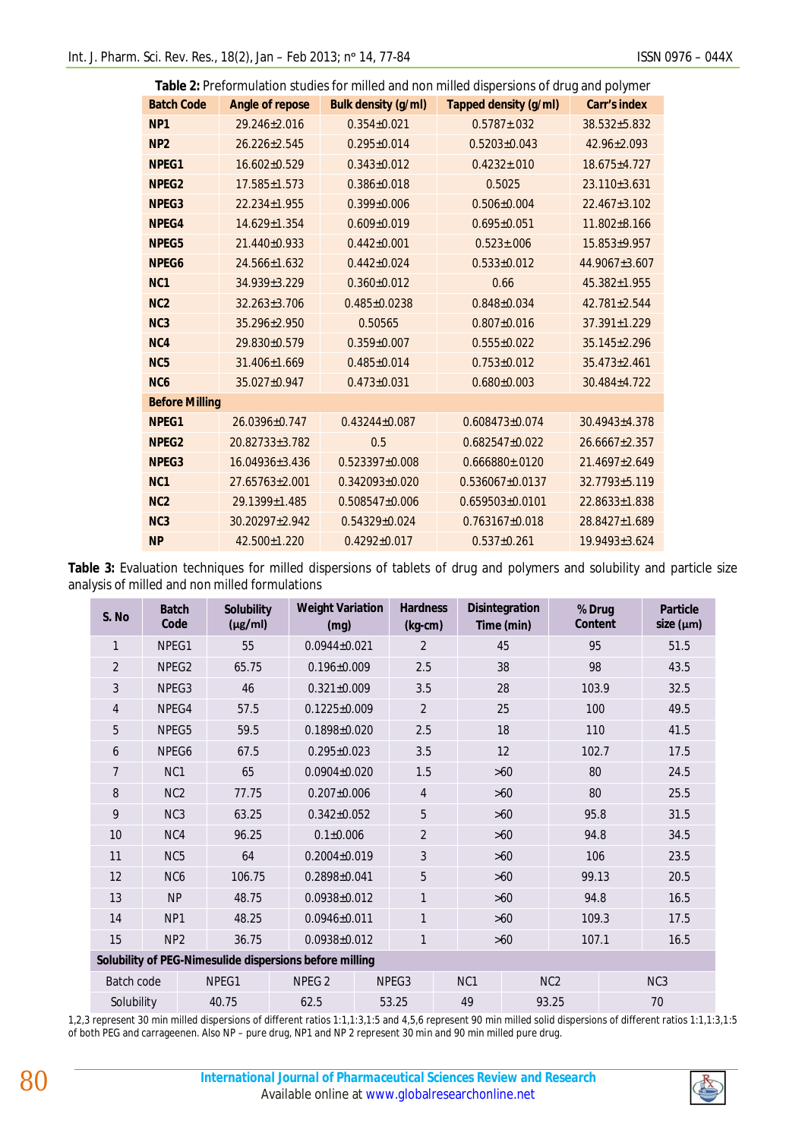| Table 2: Preformulation studies for milled and non milled dispersions of drug and polymer |                    |                            |                              |                     |  |  |  |
|-------------------------------------------------------------------------------------------|--------------------|----------------------------|------------------------------|---------------------|--|--|--|
| <b>Batch Code</b>                                                                         | Angle of repose    | <b>Bulk density (g/ml)</b> | <b>Tapped density (g/ml)</b> | <b>Carr's index</b> |  |  |  |
| NP <sub>1</sub>                                                                           | 29.246±2.016       | $0.354 \pm 0.021$          | $0.5787 \pm 0.032$           | 38.532±5.832        |  |  |  |
| NP <sub>2</sub>                                                                           | $26.226 \pm 2.545$ | $0.295 \pm 0.014$          | $0.5203 \pm 0.043$           | 42.96±2.093         |  |  |  |
| NPEG1                                                                                     | 16.602±0.529       | $0.343 \pm 0.012$          | $0.4232 \pm 0.010$           | 18.675±4.727        |  |  |  |
| NPEG <sub>2</sub>                                                                         | $17.585 \pm 1.573$ | $0.386 \pm 0.018$          | 0.5025                       | 23.110±3.631        |  |  |  |
| NPEG3                                                                                     | $22.234 \pm 1.955$ | $0.399 \pm 0.006$          | $0.506 \pm 0.004$            | $22.467 \pm 3.102$  |  |  |  |
| NPEG4                                                                                     | 14.629±1.354       | $0.609 \pm 0.019$          | $0.695 \pm 0.051$            | $11.802 \pm 8.166$  |  |  |  |
| NPEG5                                                                                     | 21.440±0.933       | $0.442\pm0.001$            | $0.523 \pm 0.006$            | $15.853 \pm 9.957$  |  |  |  |
| NPEG6                                                                                     | 24.566±1.632       | $0.442 \pm 0.024$          | $0.533 \pm 0.012$            | 44.9067±3.607       |  |  |  |
| N <sub>C</sub> 1                                                                          | 34.939±3.229       | $0.360 \pm 0.012$          | 0.66                         | 45.382±1.955        |  |  |  |
| N <sub>C</sub> 2                                                                          | $32.263 \pm 3.706$ | $0.485 \pm 0.0238$         | $0.848 \pm 0.034$            | $42.781 \pm 2.544$  |  |  |  |
| NC <sub>3</sub>                                                                           | $35.296 \pm 2.950$ | 0.50565                    | $0.807 \pm 0.016$            | $37.391 \pm 1.229$  |  |  |  |
| NC4                                                                                       | 29.830±0.579       | $0.359 \pm 0.007$          | $0.555 \pm 0.022$            | $35.145 \pm 2.296$  |  |  |  |
| NC <sub>5</sub>                                                                           | 31.406±1.669       | $0.485 \pm 0.014$          | $0.753 \pm 0.012$            | $35.473 \pm 2.461$  |  |  |  |
| N <sub>C</sub> <sub>6</sub>                                                               | 35.027±0.947       | $0.473 \pm 0.031$          | $0.680 \pm 0.003$            | 30.484±4.722        |  |  |  |
| <b>Before Milling</b>                                                                     |                    |                            |                              |                     |  |  |  |
| NPEG1                                                                                     | 26.0396±0.747      | $0.43244 \pm 0.087$        | 0.608473±0.074               | $30.4943 \pm 4.378$ |  |  |  |
| NPEG <sub>2</sub>                                                                         | 20.82733±3.782     | 0.5                        | $0.682547\pm0.022$           | $26.6667 \pm 2.357$ |  |  |  |
| NPEG3                                                                                     | 16.04936±3.436     | $0.523397\pm0.008$         | $0.666880\pm.0120$           | $21.4697 + 2.649$   |  |  |  |
| N <sub>C</sub> 1                                                                          | 27.65763±2.001     | $0.342093\pm0.020$         | $0.536067 \pm 0.0137$        | 32.7793±5.119       |  |  |  |
| N <sub>C</sub> 2                                                                          | 29.1399±1.485      | $0.508547 \pm 0.006$       | $0.659503 \pm 0.0101$        | 22.8633±1.838       |  |  |  |
| N <sub>C</sub> 3                                                                          | 30.20297±2.942     | $0.54329 \pm 0.024$        | $0.763167\pm0.018$           | 28.8427±1.689       |  |  |  |
| <b>NP</b>                                                                                 | 42.500±1.220       | $0.4292 \pm 0.017$         | $0.537+0.261$                | 19.9493±3.624       |  |  |  |

**Table 3:** Evaluation techniques for milled dispersions of tablets of drug and polymers and solubility and particle size analysis of milled and non milled formulations

| S. No                                                   | <b>Batch</b><br>Code        | <b>Solubility</b><br>$(\mu g/ml)$ | <b>Weight Variation</b><br>(mg) |                    | <b>Hardness</b><br><b>Disintegration</b><br>Time (min)<br>$(kg-cm)$ |             | % Drug<br>Content      |    | <b>Particle</b><br>size ( $\mu$ m) |  |      |
|---------------------------------------------------------|-----------------------------|-----------------------------------|---------------------------------|--------------------|---------------------------------------------------------------------|-------------|------------------------|----|------------------------------------|--|------|
| 1                                                       | NPEG1                       | 55                                |                                 | $0.0944 \pm 0.021$ |                                                                     |             | 45                     |    | 95                                 |  | 51.5 |
| $\overline{2}$                                          | NPEG <sub>2</sub>           | 65.75                             |                                 | $0.196 \pm 0.009$  |                                                                     |             | 38                     |    | 98                                 |  | 43.5 |
| 3                                                       | NPEG3                       | 46                                |                                 | $0.321 \pm 0.009$  |                                                                     |             | 28                     |    | 103.9                              |  | 32.5 |
| 4                                                       | NPEG4                       | 57.5                              |                                 | $0.1225 \pm 0.009$ |                                                                     |             | 25                     |    | 100                                |  | 49.5 |
| 5                                                       | NPEG5                       | 59.5                              | $0.1898 \pm 0.020$              |                    | 2.5                                                                 |             | 18                     |    | 110                                |  | 41.5 |
| 6                                                       | NPEG6                       | 67.5                              |                                 | $0.295 \pm 0.023$  |                                                                     |             | 12                     |    | 102.7                              |  | 17.5 |
| 7                                                       | NC1                         | 65                                |                                 | $0.0904 \pm 0.020$ |                                                                     |             | $>60$                  |    | 80                                 |  | 24.5 |
| 8                                                       | NC <sub>2</sub>             | 77.75                             |                                 | $0.207 \pm 0.006$  |                                                                     |             | $>60$                  |    | 80                                 |  | 25.5 |
| 9                                                       | NC <sub>3</sub>             | 63.25                             |                                 | $0.342 \pm 0.052$  |                                                                     |             | $>60$                  |    | 95.8                               |  | 31.5 |
| 10                                                      | NC4                         | 96.25                             |                                 | $0.1 \pm 0.006$    |                                                                     |             | $>60$                  |    | 94.8                               |  | 34.5 |
| 11                                                      | NC <sub>5</sub>             | 64                                |                                 | $0.2004 \pm 0.019$ |                                                                     |             | $>60$                  |    | 106                                |  | 23.5 |
| 12                                                      | NC <sub>6</sub>             | 106.75                            |                                 | $0.2898 \pm 0.041$ |                                                                     |             | $>60$                  |    | 99.13                              |  | 20.5 |
| 13                                                      | <b>NP</b>                   | 48.75                             |                                 | $0.0938 \pm 0.012$ |                                                                     |             | $>60$                  |    | 94.8                               |  | 16.5 |
| 14                                                      | NP1                         | 48.25                             |                                 | $0.0946 \pm 0.011$ |                                                                     |             | $>60$                  |    | 109.3                              |  | 17.5 |
| 15                                                      | NP <sub>2</sub>             | 36.75                             |                                 | $0.0938 \pm 0.012$ |                                                                     |             | $>60$                  |    | 107.1                              |  | 16.5 |
| Solubility of PEG-Nimesulide dispersions before milling |                             |                                   |                                 |                    |                                                                     |             |                        |    |                                    |  |      |
| Batch code                                              |                             | NPEG1                             | NPEG <sub>2</sub>               |                    | NPEG3                                                               |             | NC1<br>NC <sub>2</sub> |    | NC <sub>3</sub>                    |  |      |
|                                                         | Solubility<br>62.5<br>40.75 |                                   |                                 | 53.25              |                                                                     | 49<br>93.25 |                        | 70 |                                    |  |      |

1,2,3 represent 30 min milled dispersions of different ratios 1:1,1:3,1:5 and 4,5,6 represent 90 min milled solid dispersions of different ratios 1:1,1:3,1:5 of both PEG and carrageenen. Also NP – pure drug, NP1 and NP 2 represent 30 min and 90 min milled pure drug.

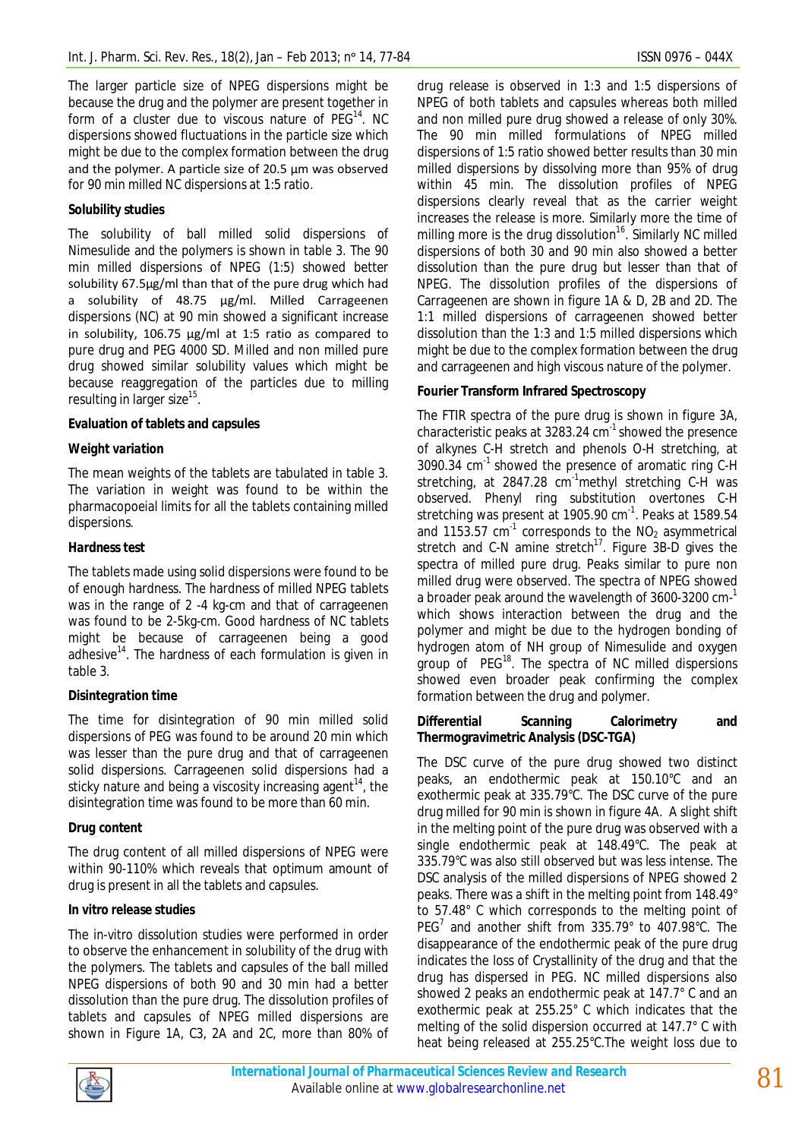The larger particle size of NPEG dispersions might be because the drug and the polymer are present together in form of a cluster due to viscous nature of PEG<sup>14</sup>. NC dispersions showed fluctuations in the particle size which might be due to the complex formation between the drug and the polymer. A particle size of 20.5 µm was observed for 90 min milled NC dispersions at 1:5 ratio.

## **Solubility studies**

The solubility of ball milled solid dispersions of Nimesulide and the polymers is shown in table 3. The 90 min milled dispersions of NPEG (1:5) showed better solubility 67.5µg/ml than that of the pure drug which had a solubility of 48.75 µg/ml. Milled Carrageenen dispersions (NC) at 90 min showed a significant increase in solubility, 106.75 µg/ml at 1:5 ratio as compared to pure drug and PEG 4000 SD. Milled and non milled pure drug showed similar solubility values which might be because reaggregation of the particles due to milling resulting in larger size<sup>15</sup>.

## **Evaluation of tablets and capsules**

## *Weight variation*

The mean weights of the tablets are tabulated in table 3. The variation in weight was found to be within the pharmacopoeial limits for all the tablets containing milled dispersions.

## *Hardness test*

The tablets made using solid dispersions were found to be of enough hardness. The hardness of milled NPEG tablets was in the range of 2 -4 kg-cm and that of carrageenen was found to be 2-5kg-cm. Good hardness of NC tablets might be because of carrageenen being a good adhesive $14$ . The hardness of each formulation is given in table 3.

## *Disintegration time*

The time for disintegration of 90 min milled solid dispersions of PEG was found to be around 20 min which was lesser than the pure drug and that of carrageenen solid dispersions. Carrageenen solid dispersions had a sticky nature and being a viscosity increasing agent<sup>14</sup>, the disintegration time was found to be more than 60 min.

# *Drug content*

The drug content of all milled dispersions of NPEG were within 90-110% which reveals that optimum amount of drug is present in all the tablets and capsules.

## *In vitro release studies*

The *in-vitro* dissolution studies were performed in order to observe the enhancement in solubility of the drug with the polymers. The tablets and capsules of the ball milled NPEG dispersions of both 90 and 30 min had a better dissolution than the pure drug. The dissolution profiles of tablets and capsules of NPEG milled dispersions are shown in Figure 1A, C3, 2A and 2C, more than 80% of

drug release is observed in 1:3 and 1:5 dispersions of NPEG of both tablets and capsules whereas both milled and non milled pure drug showed a release of only 30%. The 90 min milled formulations of NPEG milled dispersions of 1:5 ratio showed better results than 30 min milled dispersions by dissolving more than 95% of drug within 45 min. The dissolution profiles of NPEG dispersions clearly reveal that as the carrier weight increases the release is more. Similarly more the time of milling more is the drug dissolution<sup>16</sup>. Similarly NC milled dispersions of both 30 and 90 min also showed a better dissolution than the pure drug but lesser than that of NPEG. The dissolution profiles of the dispersions of Carrageenen are shown in figure 1A & D, 2B and 2D. The 1:1 milled dispersions of carrageenen showed better dissolution than the 1:3 and 1:5 milled dispersions which might be due to the complex formation between the drug and carrageenen and high viscous nature of the polymer.

# **Fourier Transform Infrared Spectroscopy**

The FTIR spectra of the pure drug is shown in figure 3A, characteristic peaks at 3283.24  $cm^{-1}$  showed the presence of alkynes C-H stretch and phenols O-H stretching, at  $3090.34$  cm<sup>-1</sup> showed the presence of aromatic ring C-H stretching, at 2847.28  $cm^{-1}$ methyl stretching C-H was observed. Phenyl ring substitution overtones C-H stretching was present at 1905.90 cm<sup>-1</sup>. Peaks at 1589.54 and 1153.57  $cm^{-1}$  corresponds to the NO<sub>2</sub> asymmetrical stretch and C-N amine stretch<sup>17</sup>. Figure 3B-D gives the spectra of milled pure drug. Peaks similar to pure non milled drug were observed. The spectra of NPEG showed a broader peak around the wavelength of 3600-3200 cm-<sup>1</sup> which shows interaction between the drug and the polymer and might be due to the hydrogen bonding of hydrogen atom of NH group of Nimesulide and oxygen group of PEG<sup>18</sup>. The spectra of NC milled dispersions showed even broader peak confirming the complex formation between the drug and polymer.

## **Differential Scanning Calorimetry and Thermogravimetric Analysis (DSC-TGA)**

The DSC curve of the pure drug showed two distinct peaks, an endothermic peak at 150.10°C and an exothermic peak at 335.79°C. The DSC curve of the pure drug milled for 90 min is shown in figure 4A. A slight shift in the melting point of the pure drug was observed with a single endothermic peak at 148.49°C. The peak at 335.79°C was also still observed but was less intense. The DSC analysis of the milled dispersions of NPEG showed 2 peaks. There was a shift in the melting point from 148.49° to 57.48° C which corresponds to the melting point of PEG<sup>7</sup> and another shift from 335.79° to 407.98°C. The disappearance of the endothermic peak of the pure drug indicates the loss of Crystallinity of the drug and that the drug has dispersed in PEG. NC milled dispersions also showed 2 peaks an endothermic peak at 147.7° C and an exothermic peak at 255.25° C which indicates that the melting of the solid dispersion occurred at 147.7° C with heat being released at 255.25°C.The weight loss due to

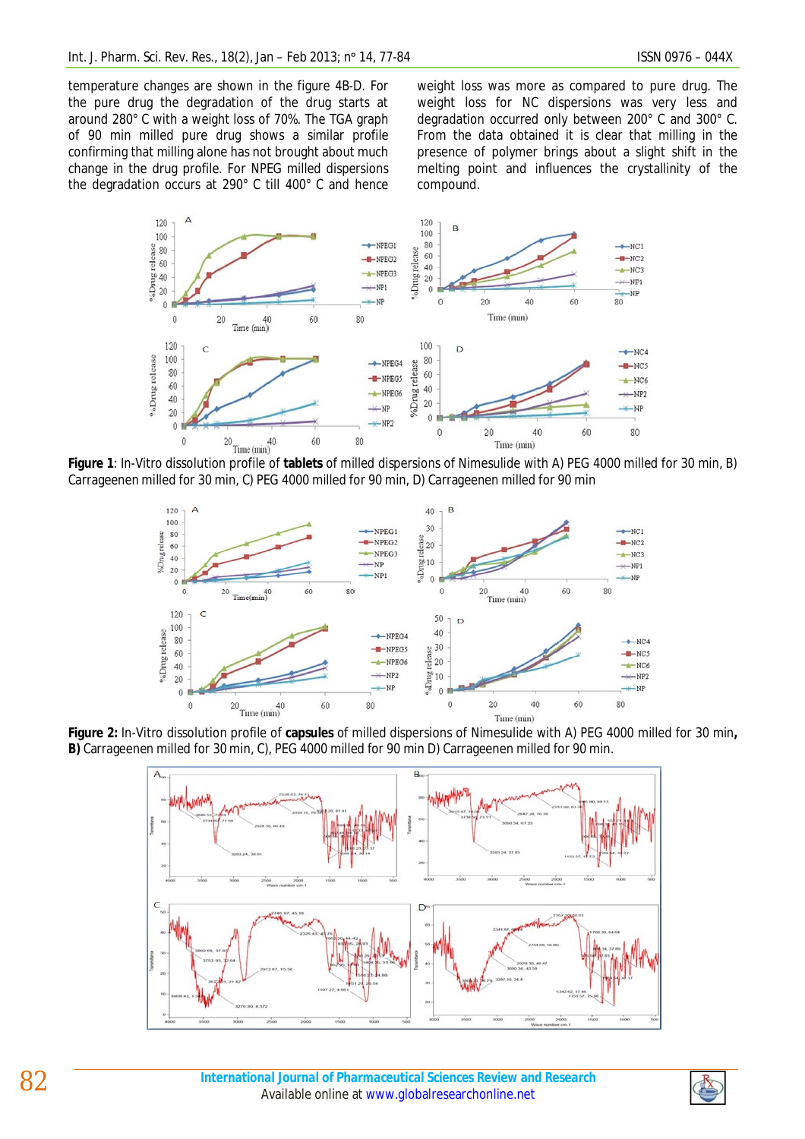temperature changes are shown in the figure 4B-D. For the pure drug the degradation of the drug starts at around 280° C with a weight loss of 70%. The TGA graph of 90 min milled pure drug shows a similar profile confirming that milling alone has not brought about much change in the drug profile. For NPEG milled dispersions the degradation occurs at 290° C till 400° C and hence weight loss was more as compared to pure drug. The weight loss for NC dispersions was very less and degradation occurred only between 200° C and 300° C. From the data obtained it is clear that milling in the presence of polymer brings about a slight shift in the melting point and influences the crystallinity of the compound.



**Figure 1**: *In-Vitro* dissolution profile of **tablets** of milled dispersions of Nimesulide with A) PEG 4000 milled for 30 min, B) Carrageenen milled for 30 min, C) PEG 4000 milled for 90 min, D) Carrageenen milled for 90 min



**Figure 2:** *In-Vitro* dissolution profile of **capsules** of milled dispersions of Nimesulide with A) PEG 4000 milled for 30 min**, B)** Carrageenen milled for 30 min, C), PEG 4000 milled for 90 min D) Carrageenen milled for 90 min.



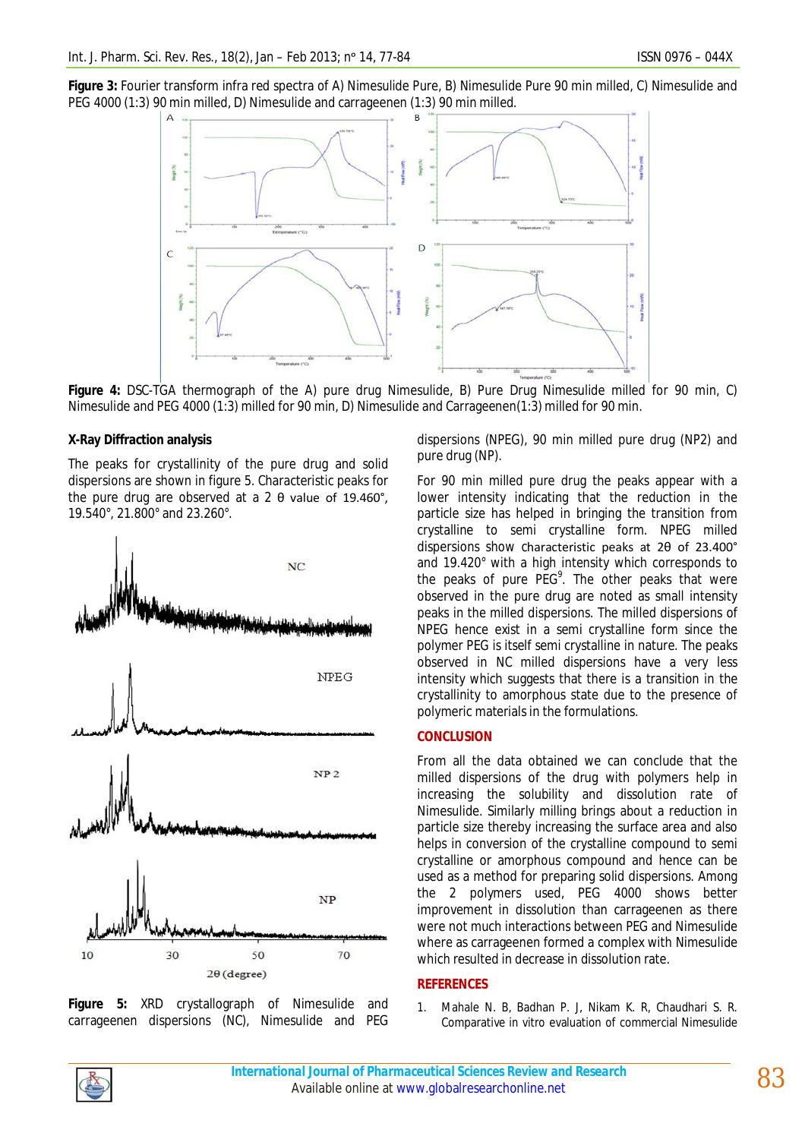**Figure 3:** Fourier transform infra red spectra of A) Nimesulide Pure, B) Nimesulide Pure 90 min milled, C) Nimesulide and PEG 4000 (1:3) 90 min milled, D) Nimesulide and carrageenen (1:3) 90 min milled.



**Figure 4:** DSC-TGA thermograph of the A) pure drug Nimesulide, B) Pure Drug Nimesulide milled for 90 min, C) Nimesulide and PEG 4000 (1:3) milled for 90 min, D) Nimesulide and Carrageenen(1:3) milled for 90 min.

## **X-Ray Diffraction analysis**

The peaks for crystallinity of the pure drug and solid dispersions are shown in figure 5. Characteristic peaks for the pure drug are observed at a 2 θ value of 19.460°, 19.540°, 21.800° and 23.260°.



**Figure 5:** XRD crystallograph of Nimesulide and carrageenen dispersions (NC), Nimesulide and PEG

dispersions (NPEG), 90 min milled pure drug (NP2) and pure drug (NP).

For 90 min milled pure drug the peaks appear with a lower intensity indicating that the reduction in the particle size has helped in bringing the transition from crystalline to semi crystalline form. NPEG milled dispersions show characteristic peaks at 2θ of 23.400° and 19.420° with a high intensity which corresponds to the peaks of pure  $PEG^9$ . The other peaks that were observed in the pure drug are noted as small intensity peaks in the milled dispersions. The milled dispersions of NPEG hence exist in a semi crystalline form since the polymer PEG is itself semi crystalline in nature. The peaks observed in NC milled dispersions have a very less intensity which suggests that there is a transition in the crystallinity to amorphous state due to the presence of polymeric materials in the formulations.

## **CONCLUSION**

From all the data obtained we can conclude that the milled dispersions of the drug with polymers help in increasing the solubility and dissolution rate of Nimesulide. Similarly milling brings about a reduction in particle size thereby increasing the surface area and also helps in conversion of the crystalline compound to semi crystalline or amorphous compound and hence can be used as a method for preparing solid dispersions. Among the 2 polymers used, PEG 4000 shows better improvement in dissolution than carrageenen as there were not much interactions between PEG and Nimesulide where as carrageenen formed a complex with Nimesulide which resulted in decrease in dissolution rate.

#### **REFERENCES**

1. Mahale N. B, Badhan P. J, Nikam K. R, Chaudhari S. R. Comparative *in vitro* evaluation of commercial Nimesulide